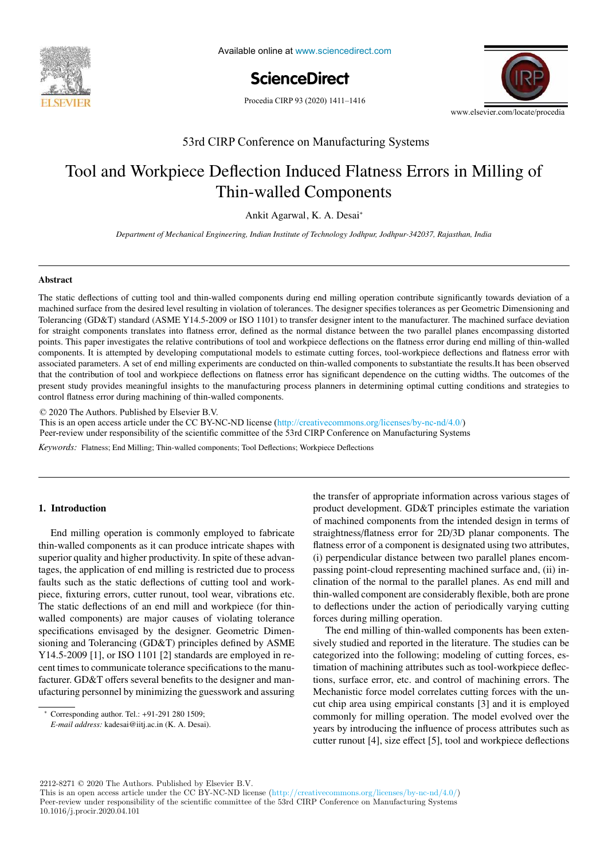

Available online at www.sciencedirect.com

**ScienceDirect** ScienceDirect

Procedia CIRP 93 (2020) 1411-1416



# 53rd CIRP Conference on Manufacturing Systems

# Tool and Workpiece Deflection Induced Flatness Errors in Milling of A new methodology to analyze the functional and physical and physical architecture of  $\mathcal{L}$ Thin-walled Components

Ankit Agarwal, K. A. Desai<sup>∗</sup>

AIIKIU Agal wal, **K. A. Desal**<br>Department of Mechanical Engineering, Indian Institute of Technology Jodhpur, Jodhpur-342037, Rajasthan, India

## **Abstract**

The static deflections of cutting tool and thin-walled components during end milling operation contribute significantly towards deviation of a points. This paper investigates the relative contributions of tool and workpiece deflections on the flatness error during end milling of thin-walled associated parameters. A set of end milling experiments are conducted on thin-walled components to substantiate the results. It has been observed that the contribution of tool and workpiece deflections on flatness error has significant dependence on the cutting widths. The outcomes of the present study provides meaningful insights to the manufacturing process planners in determining optimal cutting conditions and strategies to control flatness error during machining of thin-walled components. machined surface from the desired level resulting in violation of tolerances. The designer specifies tolerances as per Geometric Dimensioning and Tolerancing (GD&T) standard (ASME Y14.5-2009 or ISO 1101) to transfer designer intent to the manufacturer. The machined surface deviation for straight components translates into flatness error, defined as the normal distance between the two parallel planes encompassing distorted components. It is attempted by developing computational models to estimate cutting forces, tool-workpiece deflections and flatness error with

a functional analysis is performed. More over, a hybrid functional and physical architecture graph (HyFPAG) is

example of a nail-clipper is used methodology. An industrial case study on two product families of steering case study on two product families of steering columns of steering columns of steering columns of steering columns

© 2020 The Authors. Published by Elsevier B.V.

This is an open access article under the CC BY-NC-ND license (http://creativecommons.org/licenses/by-nc-nd/4.0/) Peer-review under responsibility of the scientific committee of the 53rd CIRP Conference on Manufacturing Systems

Keywords: Flatness; End Milling; Thin-walled components; Tool Deflections; Workpiece Deflections

# 1. Introduction

End milling operation is commonly employed to fabricate faults such as the static deflections of cutting tool and work-The static deflections of an end mill and workpiece (for thinwalled components) are major causes of violating tolerance specifications envisaged by the designer. Geometric Dimensioning and Tolerancing (GD&T) principles defined by ASME Y14.5-2009 [1], or ISO 1101 [2] standards are employed in recent times to communicate tolerance specifications to the manufacturer. GD&T offers several benefits to the designer and manufacturing personnel by minimizing the guesswork and assuring which is inducing the development from  $\mathcal{C}$ thin-walled components as it can produce intricate shapes with superior quality and higher productivity. In spite of these advantages, the application of end milling is restricted due to process piece, fixturing errors, cutter runout, tool wear, vibrations etc.

the transfer of appropriate information across various stages of 1. Introduction product development. GD&T principles estimate the variation clination of the normal to the parallel planes. As end mill and thin-walled component are considerably flexible, both are prone to deflections under the action of periodically varying cutting forces during milling operation. of machined components from the intended design in terms of straightness/flatness error for 2D/3D planar components. The flatness error of a component is designated using two attributes, (i) perpendicular distance between two parallel planes encompassing point-cloud representing machined surface and, (ii) in-

The end milling of thin-walled components has been extensively studied and reported in the literature. The studies can be categorized into the following; modeling of cutting forces, estimation of machining attributes such as tool-workpiece deflections, surface error, etc. and control of machining errors. The Mechanistic force model correlates cutting forces with the uncut chip area using empirical constants [3] and it is employed commonly for milling operation. The model evolved over the years by introducing the influence of process attributes such as cutter runout [4], size effect [5], tool and workpiece deflections

2212-8271 © 2020 The Authors. Published by Elsevier B.V.

This is an open access article under the CC BY-NC-ND license (http://creativecommons.org/licenses/by-nc-nd/4.0/) Peer-review under responsibility of the scientific committee of the 53rd CIRP Conference on Manufacturing Systems 10.1016/j.procir.2020.04.101

markets, results in diminished lot sizes due to augmenting <sup>∗</sup> Corresponding author. Tel.: +91-291 280 1509;

E-mail address: kadesai@iitj.ac.in (K. A. Desai).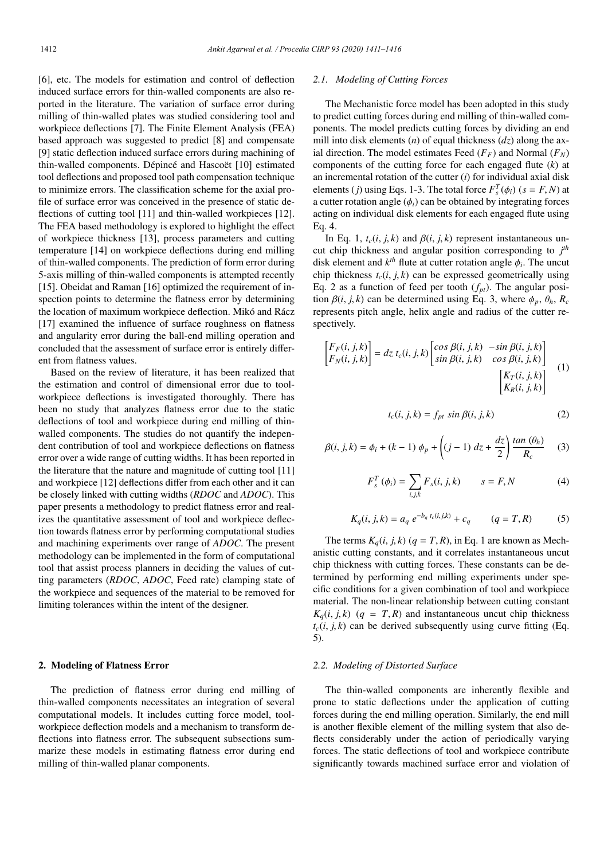[6], etc. The models for estimation and control of deflection induced surface errors for thin-walled components are also reported in the literature. The variation of surface error during milling of thin-walled plates was studied considering tool and workpiece deflections [7]. The Finite Element Analysis (FEA) based approach was suggested to predict [8] and compensate [9] static deflection induced surface errors during machining of thin-walled components. Dépincé and Hascoët [10] estimated tool deflections and proposed tool path compensation technique to minimize errors. The classification scheme for the axial profile of surface error was conceived in the presence of static deflections of cutting tool [11] and thin-walled workpieces [12]. The FEA based methodology is explored to highlight the effect of workpiece thickness [13], process parameters and cutting temperature [14] on workpiece deflections during end milling of thin-walled components. The prediction of form error during 5-axis milling of thin-walled components is attempted recently [15]. Obeidat and Raman [16] optimized the requirement of inspection points to determine the flatness error by determining the location of maximum workpiece deflection. Mikó and Rácz [17] examined the influence of surface roughness on flatness and angularity error during the ball-end milling operation and concluded that the assessment of surface error is entirely different from flatness values.

Based on the review of literature, it has been realized that the estimation and control of dimensional error due to toolworkpiece deflections is investigated thoroughly. There has been no study that analyzes flatness error due to the static deflections of tool and workpiece during end milling of thinwalled components. The studies do not quantify the independent contribution of tool and workpiece deflections on flatness error over a wide range of cutting widths. It has been reported in the literature that the nature and magnitude of cutting tool [11] and workpiece [12] deflections differ from each other and it can be closely linked with cutting widths (*RDOC* and *ADOC*). This paper presents a methodology to predict flatness error and realizes the quantitative assessment of tool and workpiece deflection towards flatness error by performing computational studies and machining experiments over range of *ADOC*. The present methodology can be implemented in the form of computational tool that assist process planners in deciding the values of cutting parameters (*RDOC*, *ADOC*, Feed rate) clamping state of the workpiece and sequences of the material to be removed for limiting tolerances within the intent of the designer.

## 2. Modeling of Flatness Error

The prediction of flatness error during end milling of thin-walled components necessitates an integration of several computational models. It includes cutting force model, toolworkpiece deflection models and a mechanism to transform deflections into flatness error. The subsequent subsections summarize these models in estimating flatness error during end milling of thin-walled planar components.

# *2.1. Modeling of Cutting Forces*

The Mechanistic force model has been adopted in this study to predict cutting forces during end milling of thin-walled components. The model predicts cutting forces by dividing an end mill into disk elements (*n*) of equal thickness (*dz*) along the axial direction. The model estimates Feed  $(F_F)$  and Normal  $(F_N)$ components of the cutting force for each engaged flute (*k*) at an incremental rotation of the cutter (*i*) for individual axial disk elements (*j*) using Eqs. 1-3. The total force  $F_s^T(\phi_i)$  ( $s = F, N$ ) at a cutter rotation angle  $(\phi_i)$  can be obtained by integrating forces acting on individual disk elements for each engaged flute using Eq. 4.

In Eq. 1,  $t_c(i, j, k)$  and  $\beta(i, j, k)$  represent instantaneous uncut chip thickness and angular position corresponding to *j th* disk element and  $k^{th}$  flute at cutter rotation angle  $\phi_i$ . The uncut chip thickness  $t_c(i, j, k)$  can be expressed geometrically using Eq. 2 as a function of feed per tooth  $(f_{pt})$ . The angular position  $\beta(i, j, k)$  can be determined using Eq. 3, where  $\phi_p$ ,  $\theta_h$ ,  $R_c$ represents pitch angle, helix angle and radius of the cutter respectively.

$$
\begin{bmatrix} F_F(i,j,k) \\ F_N(i,j,k) \end{bmatrix} = dz \ t_c(i,j,k) \begin{bmatrix} \cos \beta(i,j,k) & -\sin \beta(i,j,k) \\ \sin \beta(i,j,k) & \cos \beta(i,j,k) \end{bmatrix} \begin{bmatrix} K_T(i,j,k) \\ K_R(i,j,k) \end{bmatrix}
$$
 (1)

$$
t_c(i, j, k) = f_{pt} \sin \beta(i, j, k) \tag{2}
$$

$$
\beta(i, j, k) = \phi_i + (k - 1) \phi_p + \left( (j - 1) dz + \frac{dz}{2} \right) \frac{\tan(\theta_h)}{R_c}
$$
 (3)

$$
F_s^T(\phi_i) = \sum_{i,j,k} F_s(i,j,k) \qquad s = F, N \tag{4}
$$

$$
K_q(i, j, k) = a_q e^{-b_q t_c(i, j, k)} + c_q \qquad (q = T, R) \tag{5}
$$

The terms  $K_q(i, j, k)$  ( $q = T, R$ ), in Eq. 1 are known as Mechanistic cutting constants, and it correlates instantaneous uncut chip thickness with cutting forces. These constants can be determined by performing end milling experiments under specific conditions for a given combination of tool and workpiece material. The non-linear relationship between cutting constant  $K_q(i, j, k)$  (*q* = *T*, *R*) and instantaneous uncut chip thickness  $t_c(i, j, k)$  can be derived subsequently using curve fitting (Eq. 5).

## *2.2. Modeling of Distorted Surface*

The thin-walled components are inherently flexible and prone to static deflections under the application of cutting forces during the end milling operation. Similarly, the end mill is another flexible element of the milling system that also deflects considerably under the action of periodically varying forces. The static deflections of tool and workpiece contribute significantly towards machined surface error and violation of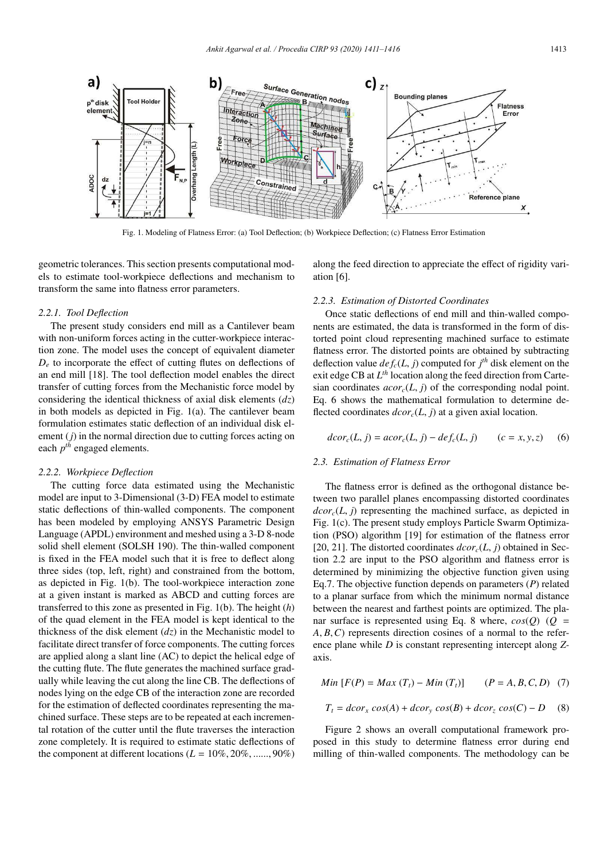

Fig. 1. Modeling of Flatness Error: (a) Tool Deflection; (b) Workpiece Deflection; (c) Flatness Error Estimation

geometric tolerances. This section presents computational models to estimate tool-workpiece deflections and mechanism to transform the same into flatness error parameters.

#### *2.2.1. Tool Deflection*

The present study considers end mill as a Cantilever beam with non-uniform forces acting in the cutter-workpiece interaction zone. The model uses the concept of equivalent diameter  $D_e$  to incorporate the effect of cutting flutes on deflections of an end mill [18]. The tool deflection model enables the direct transfer of cutting forces from the Mechanistic force model by considering the identical thickness of axial disk elements (*dz*) in both models as depicted in Fig. 1(a). The cantilever beam formulation estimates static deflection of an individual disk element (*j*) in the normal direction due to cutting forces acting on each *p th* engaged elements.

#### *2.2.2. Workpiece Deflection*

The cutting force data estimated using the Mechanistic model are input to 3-Dimensional (3-D) FEA model to estimate static deflections of thin-walled components. The component has been modeled by employing ANSYS Parametric Design Language (APDL) environment and meshed using a 3-D 8-node solid shell element (SOLSH 190). The thin-walled component is fixed in the FEA model such that it is free to deflect along three sides (top, left, right) and constrained from the bottom, as depicted in Fig. 1(b). The tool-workpiece interaction zone at a given instant is marked as ABCD and cutting forces are transferred to this zone as presented in Fig. 1(b). The height (*h*) of the quad element in the FEA model is kept identical to the thickness of the disk element (*dz*) in the Mechanistic model to facilitate direct transfer of force components. The cutting forces are applied along a slant line (AC) to depict the helical edge of the cutting flute. The flute generates the machined surface gradually while leaving the cut along the line CB. The deflections of nodes lying on the edge CB of the interaction zone are recorded for the estimation of deflected coordinates representing the machined surface. These steps are to be repeated at each incremental rotation of the cutter until the flute traverses the interaction zone completely. It is required to estimate static deflections of the component at different locations  $(L = 10\%, 20\%, \dots, 90\%)$ 

along the feed direction to appreciate the effect of rigidity variation [6].

# *2.2.3. Estimation of Distorted Coordinates*

Once static deflections of end mill and thin-walled components are estimated, the data is transformed in the form of distorted point cloud representing machined surface to estimate flatness error. The distorted points are obtained by subtracting deflection value  $def_c(L, j)$  computed for  $j<sup>th</sup>$  disk element on the exit edge CB at  $L^{th}$  location along the feed direction from Cartesian coordinates  $acor_c(L, j)$  of the corresponding nodal point. Eq. 6 shows the mathematical formulation to determine deflected coordinates  $dcor_c(L, i)$  at a given axial location.

$$
dcor_c(L, j) = acor_c(L, j) - def_c(L, j) \qquad (c = x, y, z) \tag{6}
$$

# *2.3. Estimation of Flatness Error*

The flatness error is defined as the orthogonal distance between two parallel planes encompassing distorted coordinates  $dcor_c(L, i)$  representing the machined surface, as depicted in Fig. 1(c). The present study employs Particle Swarm Optimization (PSO) algorithm [19] for estimation of the flatness error [20, 21]. The distorted coordinates  $dcor_c(L, i)$  obtained in Section 2.2 are input to the PSO algorithm and flatness error is determined by minimizing the objective function given using Eq.7. The objective function depends on parameters (*P*) related to a planar surface from which the minimum normal distance between the nearest and farthest points are optimized. The planar surface is represented using Eq. 8 where,  $cos(Q)$  ( $Q =$ *A*, *B*,*C*) represents direction cosines of a normal to the reference plane while *D* is constant representing intercept along *Z*axis.

$$
Min\ [F(P) = Max\ (T_t) - Min\ (T_t)]
$$
  $(P = A, B, C, D)$  (7)

$$
T_t = dcor_x \cos(A) + dcor_y \cos(B) + dcor_z \cos(C) - D \quad (8)
$$

Figure 2 shows an overall computational framework proposed in this study to determine flatness error during end milling of thin-walled components. The methodology can be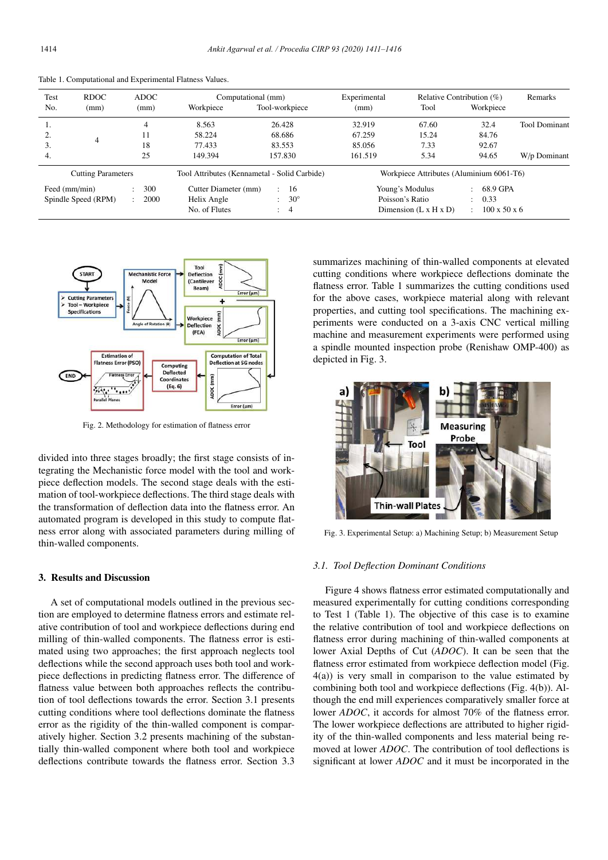| Test                      | <b>RDOC</b> | ADOC.                | Computational (mm)                           |                           | Experimental                             | Relative Contribution $(\%)$      |                          | Remarks              |
|---------------------------|-------------|----------------------|----------------------------------------------|---------------------------|------------------------------------------|-----------------------------------|--------------------------|----------------------|
| No.                       | (mm)        | (mm)                 | Workpiece                                    | Tool-workpiece            | (mm)                                     | Tool                              | Workpiece                |                      |
| 1.                        | 4           | 4                    | 8.563                                        | 26.428                    | 32.919                                   | 67.60                             | 32.4                     | <b>Tool Dominant</b> |
| 2.                        |             | 11                   | 58.224                                       | 68.686                    | 67.259                                   | 15.24                             | 84.76                    |                      |
| 3.                        |             | 18                   | 77.433                                       | 83.553                    | 85.056                                   | 7.33                              | 92.67                    |                      |
| 4.                        |             | 25                   | 149.394                                      | 157.830                   | 161.519                                  | 5.34                              | 94.65                    | W/p Dominant         |
| <b>Cutting Parameters</b> |             |                      | Tool Attributes (Kennametal - Solid Carbide) |                           | Workpiece Attributes (Aluminium 6061-T6) |                                   |                          |                      |
| Feed (mm/min)             |             | 300<br>$\mathcal{L}$ | : 16<br>Cutter Diameter (mm)                 |                           | Young's Modulus                          |                                   | 68.9 GPA<br>$\mathbf{r}$ |                      |
| Spindle Speed (RPM)       |             | 2000                 | Helix Angle                                  | $30^{\circ}$<br>$\bullet$ | Poisson's Ratio                          |                                   | 0.33<br>$\mathcal{L}$    |                      |
|                           |             |                      | No. of Flutes                                | 4<br>÷                    |                                          | Dimension $(L \times H \times D)$ | $100 \times 50 \times 6$ |                      |

Table 1. Computational and Experimental Flatness Values.



Fig. 2. Methodology for estimation of flatness error

divided into three stages broadly; the first stage consists of integrating the Mechanistic force model with the tool and workpiece deflection models. The second stage deals with the estimation of tool-workpiece deflections. The third stage deals with the transformation of deflection data into the flatness error. An automated program is developed in this study to compute flatness error along with associated parameters during milling of thin-walled components.

# 3. Results and Discussion

A set of computational models outlined in the previous section are employed to determine flatness errors and estimate relative contribution of tool and workpiece deflections during end milling of thin-walled components. The flatness error is estimated using two approaches; the first approach neglects tool deflections while the second approach uses both tool and workpiece deflections in predicting flatness error. The difference of flatness value between both approaches reflects the contribution of tool deflections towards the error. Section 3.1 presents cutting conditions where tool deflections dominate the flatness error as the rigidity of the thin-walled component is comparatively higher. Section 3.2 presents machining of the substantially thin-walled component where both tool and workpiece deflections contribute towards the flatness error. Section 3.3 summarizes machining of thin-walled components at elevated cutting conditions where workpiece deflections dominate the flatness error. Table 1 summarizes the cutting conditions used for the above cases, workpiece material along with relevant properties, and cutting tool specifications. The machining experiments were conducted on a 3-axis CNC vertical milling machine and measurement experiments were performed using a spindle mounted inspection probe (Renishaw OMP-400) as depicted in Fig. 3.



Fig. 3. Experimental Setup: a) Machining Setup; b) Measurement Setup

#### *3.1. Tool Deflection Dominant Conditions*

Figure 4 shows flatness error estimated computationally and measured experimentally for cutting conditions corresponding to Test 1 (Table 1). The objective of this case is to examine the relative contribution of tool and workpiece deflections on flatness error during machining of thin-walled components at lower Axial Depths of Cut (*ADOC*). It can be seen that the flatness error estimated from workpiece deflection model (Fig. 4(a)) is very small in comparison to the value estimated by combining both tool and workpiece deflections (Fig. 4(b)). Although the end mill experiences comparatively smaller force at lower *ADOC*, it accords for almost 70% of the flatness error. The lower workpiece deflections are attributed to higher rigidity of the thin-walled components and less material being removed at lower *ADOC*. The contribution of tool deflections is significant at lower *ADOC* and it must be incorporated in the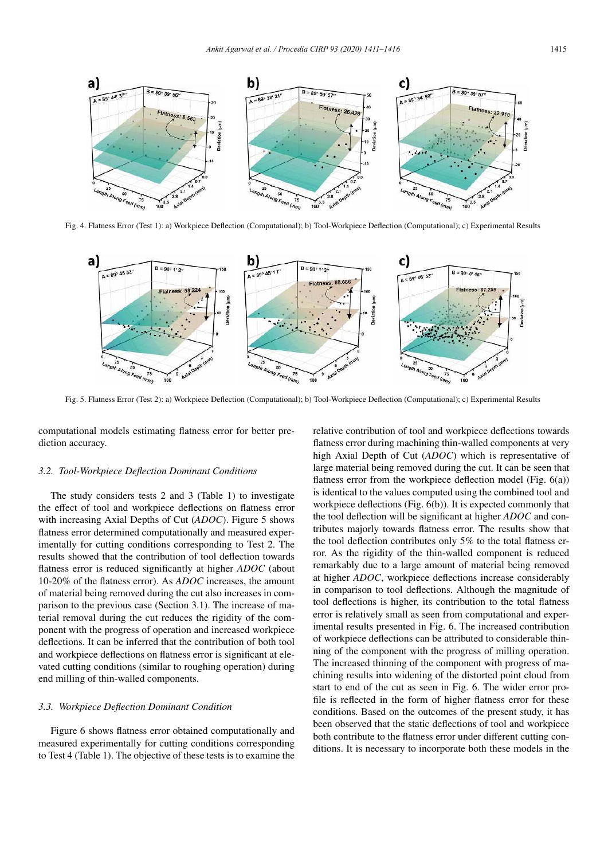

Fig. 4. Flatness Error (Test 1): a) Workpiece Deflection (Computational); b) Tool-Workpiece Deflection (Computational); c) Experimental Results



Fig. 5. Flatness Error (Test 2): a) Workpiece Deflection (Computational); b) Tool-Workpiece Deflection (Computational); c) Experimental Results

computational models estimating flatness error for better prediction accuracy.

#### *3.2. Tool-Workpiece Deflection Dominant Conditions*

The study considers tests 2 and 3 (Table 1) to investigate the effect of tool and workpiece deflections on flatness error with increasing Axial Depths of Cut (*ADOC*). Figure 5 shows flatness error determined computationally and measured experimentally for cutting conditions corresponding to Test 2. The results showed that the contribution of tool deflection towards flatness error is reduced significantly at higher *ADOC* (about 10-20% of the flatness error). As *ADOC* increases, the amount of material being removed during the cut also increases in comparison to the previous case (Section 3.1). The increase of material removal during the cut reduces the rigidity of the component with the progress of operation and increased workpiece deflections. It can be inferred that the contribution of both tool and workpiece deflections on flatness error is significant at elevated cutting conditions (similar to roughing operation) during end milling of thin-walled components.

#### *3.3. Workpiece Deflection Dominant Condition*

Figure 6 shows flatness error obtained computationally and measured experimentally for cutting conditions corresponding to Test 4 (Table 1). The objective of these tests is to examine the relative contribution of tool and workpiece deflections towards flatness error during machining thin-walled components at very high Axial Depth of Cut (*ADOC*) which is representative of large material being removed during the cut. It can be seen that flatness error from the workpiece deflection model (Fig. 6(a)) is identical to the values computed using the combined tool and workpiece deflections (Fig. 6(b)). It is expected commonly that the tool deflection will be significant at higher *ADOC* and contributes majorly towards flatness error. The results show that the tool deflection contributes only 5% to the total flatness error. As the rigidity of the thin-walled component is reduced remarkably due to a large amount of material being removed at higher *ADOC*, workpiece deflections increase considerably in comparison to tool deflections. Although the magnitude of tool deflections is higher, its contribution to the total flatness error is relatively small as seen from computational and experimental results presented in Fig. 6. The increased contribution of workpiece deflections can be attributed to considerable thinning of the component with the progress of milling operation. The increased thinning of the component with progress of machining results into widening of the distorted point cloud from start to end of the cut as seen in Fig. 6. The wider error profile is reflected in the form of higher flatness error for these conditions. Based on the outcomes of the present study, it has been observed that the static deflections of tool and workpiece both contribute to the flatness error under different cutting conditions. It is necessary to incorporate both these models in the